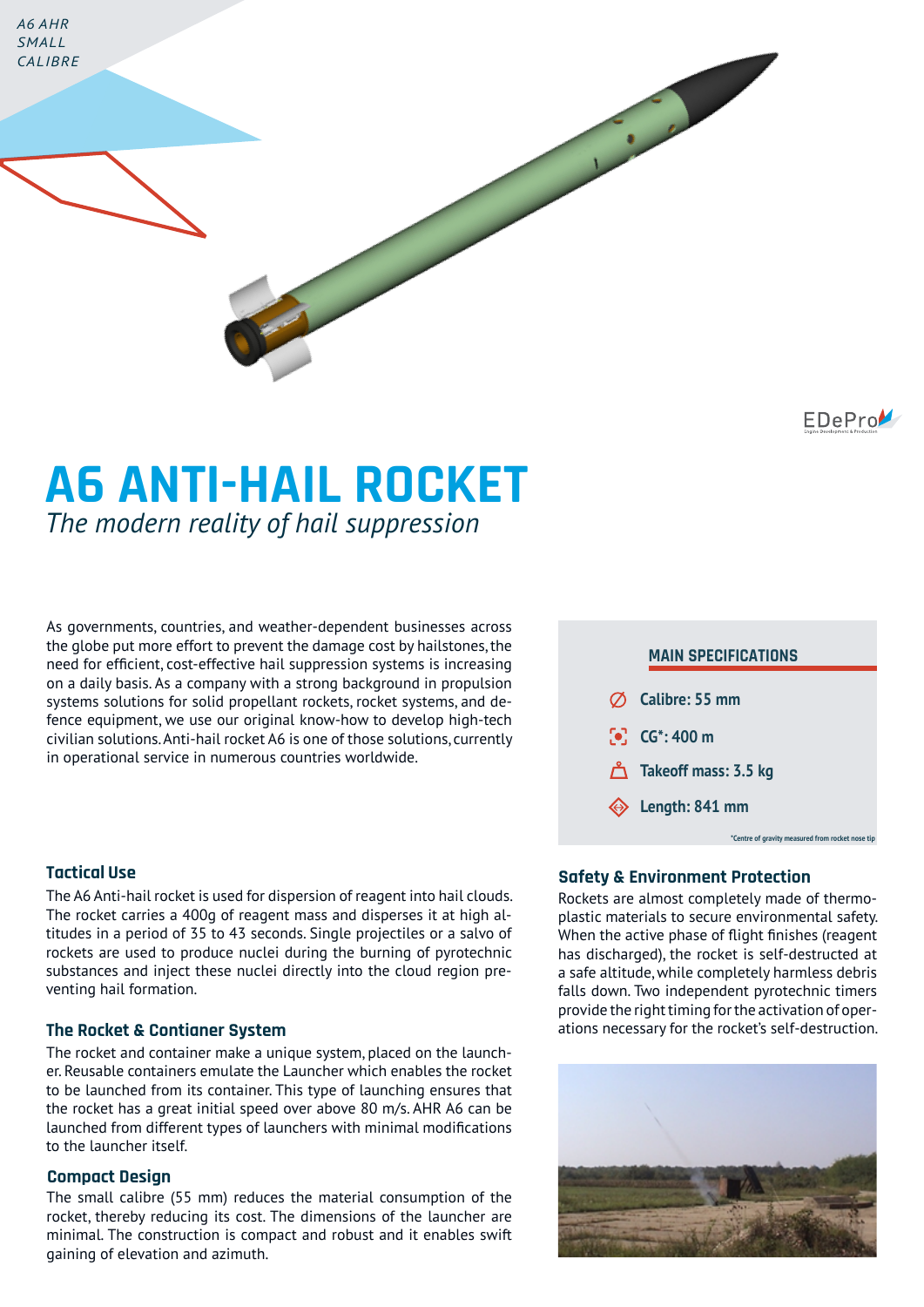

EDePro

# **A6 ANTI-HAIL ROCKET** *The modern reality of hail suppression*

As governments, countries, and weather-dependent businesses across the globe put more effort to prevent the damage cost by hailstones, the need for efficient, cost-effective hail suppression systems is increasing on a daily basis. As a company with a strong background in propulsion systems solutions for solid propellant rockets, rocket systems, and defence equipment, we use our original know-how to develop high-tech civilian solutions. Anti-hail rocket A6 is one of those solutions, currently in operational service in numerous countries worldwide.

# **Tactical Use**

The A6 Anti-hail rocket is used for dispersion of reagent into hail clouds. The rocket carries a 400g of reagent mass and disperses it at high altitudes in a period of 35 to 43 seconds. Single projectiles or a salvo of rockets are used to produce nuclei during the burning of pyrotechnic substances and inject these nuclei directly into the cloud region preventing hail formation.

### **The Rocket & Contianer System**

The rocket and container make a unique system, placed on the launcher. Reusable containers emulate the Launcher which enables the rocket to be launched from its container. This type of launching ensures that the rocket has a great initial speed over above 80 m/s. AHR A6 can be launched from different types of launchers with minimal modifications to the launcher itself.

#### **Compact Design**

The small calibre (55 mm) reduces the material consumption of the rocket, thereby reducing its cost. The dimensions of the launcher are minimal. The construction is compact and robust and it enables swift gaining of elevation and azimuth.



## **Safety & Environment Protection**

Rockets are almost completely made of thermoplastic materials to secure environmental safety. When the active phase of flight finishes (reagent has discharged), the rocket is self-destructed at a safe altitude, while completely harmless debris falls down. Two independent pyrotechnic timers provide the right timing for the activation of operations necessary for the rocket's self-destruction.